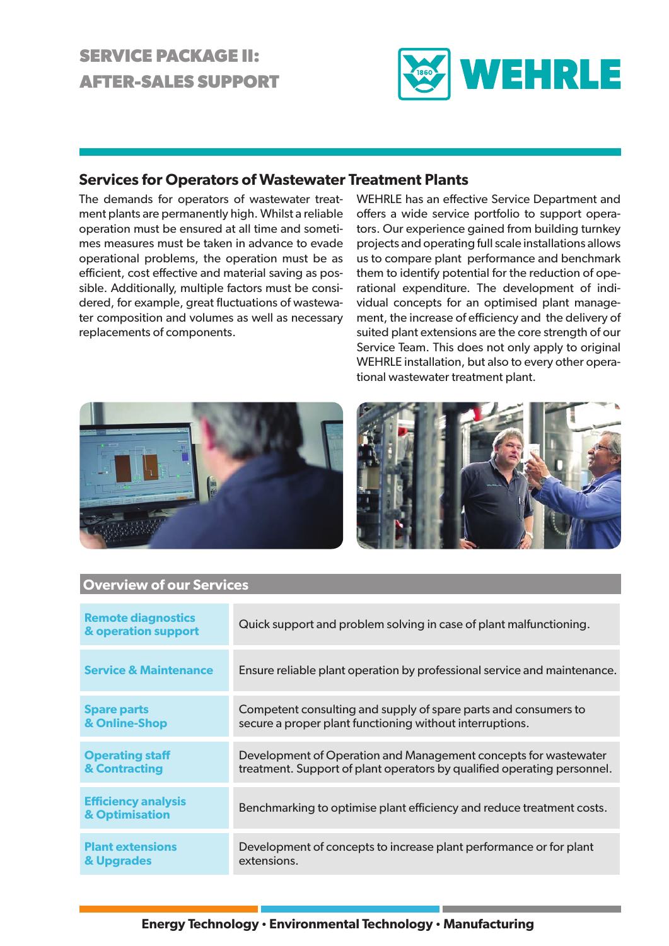# **SERVICE PACKAGE II: AFTER-SALES SUPPORT**



# **Services for Operators of Wastewater Treatment Plants**

The demands for operators of wastewater treatment plants are permanently high. Whilst a reliable operation must be ensured at all time and sometimes measures must be taken in advance to evade operational problems, the operation must be as efficient, cost effective and material saving as possible. Additionally, multiple factors must be considered, for example, great fluctuations of wastewater composition and volumes as well as necessary replacements of components.

WEHRLE has an effective Service Department and offers a wide service portfolio to support operators. Our experience gained from building turnkey projects and operating full scale installations allows us to compare plant performance and benchmark them to identify potential for the reduction of operational expenditure. The development of individual concepts for an optimised plant management, the increase of efficiency and the delivery of suited plant extensions are the core strength of our Service Team. This does not only apply to original WEHRLE installation, but also to every other operational wastewater treatment plant.





## **Remote diagnostics Reflicte diagnostics**<br> **& operation support** Quick support and problem solving in case of plant malfunctioning. **Service & Maintenance** Ensure reliable plant operation by professional service and maintenance. **Spare parts & Online-Shop** Competent consulting and supply of spare parts and consumers to secure a proper plant functioning without interruptions. **Operating staff & Contracting** Development of Operation and Management concepts for wastewater treatment. Support of plant operators by qualified operating personnel. **Efficiency analysis EFFICIENCY ATTAINS BENCHMARKING TO OPTIMISE PLANT SETTING THE SET OF SET OF SET OF SET OF SET OF SET OF SET OF S Plant extensions & Upgrades** Development of concepts to increase plant performance or for plant extensions.

## **Overview of our Services**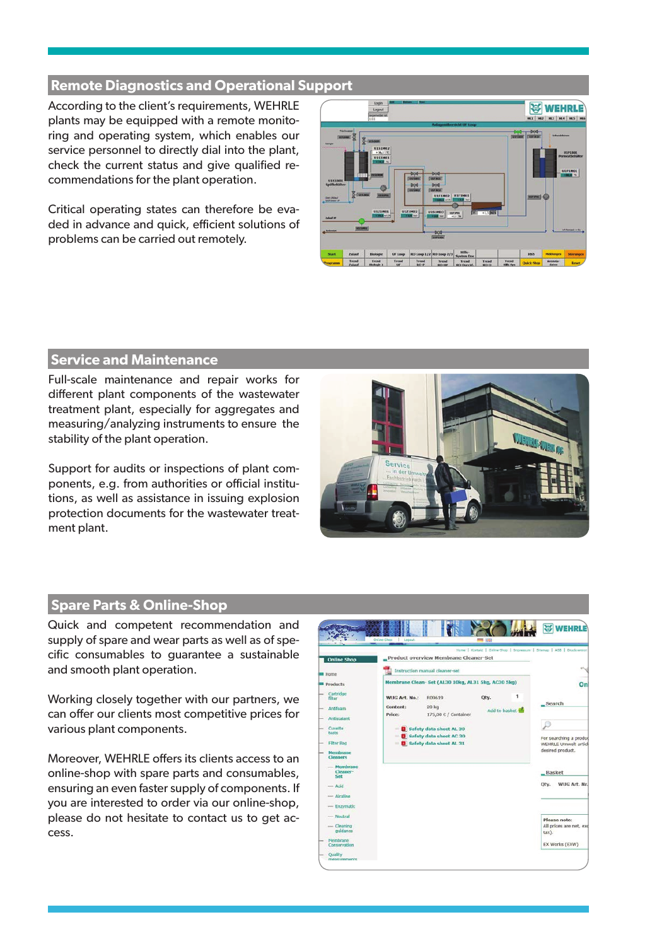#### **Remote Diagnostics and Operational Support**

According to the client's requirements, WEHRLE plants may be equipped with a remote monitoring and operating system, which enables our service personnel to directly dial into the plant, check the current status and give qualified recommendations for the plant operation.

Critical operating states can therefore be evaded in advance and quick, efficient solutions of problems can be carried out remotely.



# **Service and Maintenance**

Full-scale maintenance and repair works for different plant components of the wastewater treatment plant, especially for aggregates and measuring/analyzing instruments to ensure the stability of the plant operation.

Support for audits or inspections of plant components, e.g. from authorities or official institutions, as well as assistance in issuing explosion protection documents for the wastewater treatment plant.



#### **Spare Parts & Online-Shop**

Quick and competent recommendation and supply of spare and wear parts as well as of specific consumables to guarantee a sustainable and smooth plant operation.

Working closely together with our partners, we can offer our clients most competitive prices for various plant components.

Moreover, WEHRLE offers its clients access to an online-shop with spare parts and consumables, ensuring an even faster supply of components. If you are interested to order via our online-shop, please do not hesitate to contact us to get access.

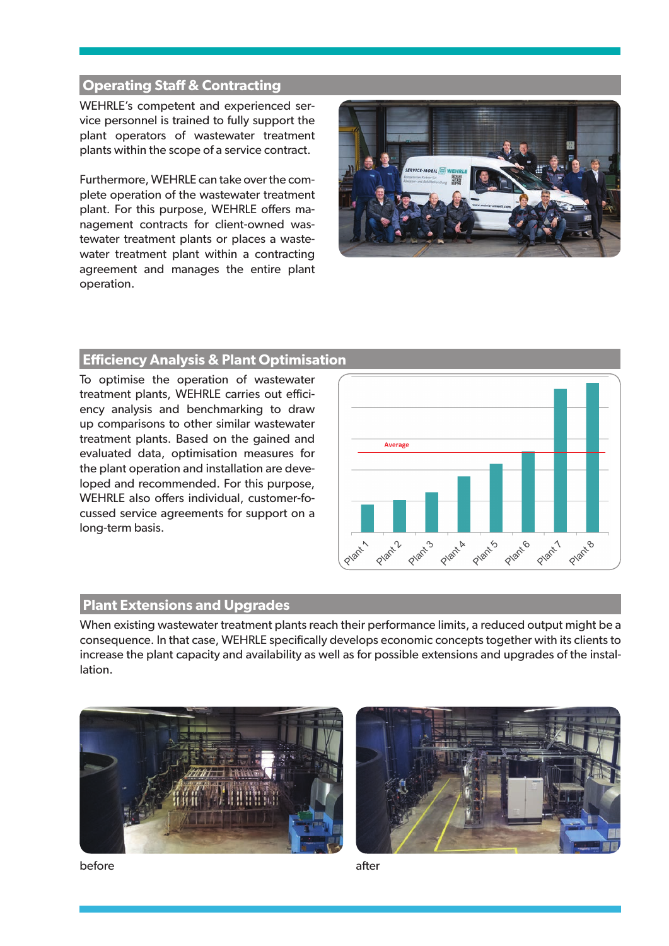### **Operating Staff & Contracting**

WEHRLE's competent and experienced service personnel is trained to fully support the plant operators of wastewater treatment plants within the scope of a service contract.

Furthermore, WEHRLE can take over the complete operation of the wastewater treatment plant. For this purpose, WEHRLE offers management contracts for client-owned wastewater treatment plants or places a wastewater treatment plant within a contracting agreement and manages the entire plant operation.



#### **Effi ciency Analysis & Plant Optimisation**

To optimise the operation of wastewater treatment plants, WEHRLE carries out efficiency analysis and benchmarking to draw up comparisons to other similar wastewater treatment plants. Based on the gained and evaluated data, optimisation measures for the plant operation and installation are developed and recommended. For this purpose, WEHRLE also offers individual, customer-focussed service agreements for support on a long-term basis.



#### **Plant Extensions and Upgrades**

When existing wastewater treatment plants reach their performance limits, a reduced output might be a consequence. In that case, WEHRLE specifically develops economic concepts together with its clients to increase the plant capacity and availability as well as for possible extensions and upgrades of the installation.